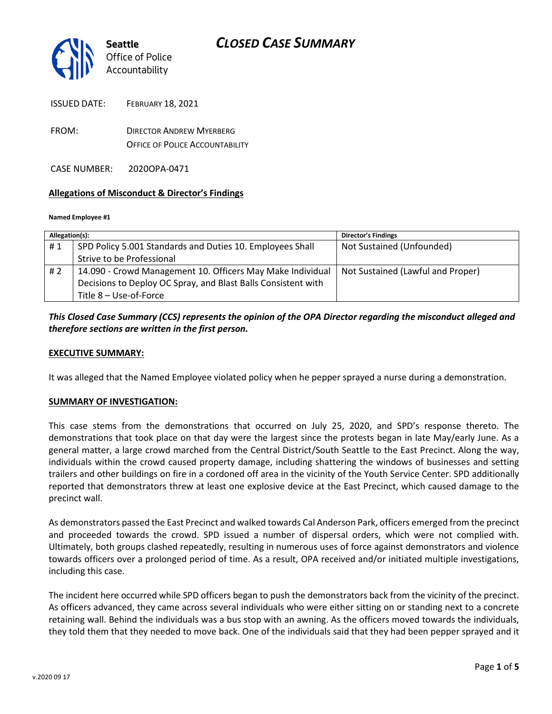

| <b>ISSUED DATE:</b> | <b>FEBRUARY 18, 2021</b> |  |
|---------------------|--------------------------|--|
|                     |                          |  |

FROM: DIRECTOR ANDREW MYERBERG OFFICE OF POLICE ACCOUNTABILITY

CASE NUMBER: 2020OPA-0471

#### **Allegations of Misconduct & Director's Findings**

#### **Named Employee #1**

| Allegation(s): |                                                               | <b>Director's Findings</b>        |
|----------------|---------------------------------------------------------------|-----------------------------------|
| #1             | SPD Policy 5.001 Standards and Duties 10. Employees Shall     | Not Sustained (Unfounded)         |
|                | Strive to be Professional                                     |                                   |
| # 2            | 14.090 - Crowd Management 10. Officers May Make Individual    | Not Sustained (Lawful and Proper) |
|                | Decisions to Deploy OC Spray, and Blast Balls Consistent with |                                   |
|                | Title 8 - Use-of-Force                                        |                                   |

### *This Closed Case Summary (CCS) represents the opinion of the OPA Director regarding the misconduct alleged and therefore sections are written in the first person.*

#### **EXECUTIVE SUMMARY:**

It was alleged that the Named Employee violated policy when he pepper sprayed a nurse during a demonstration.

#### **SUMMARY OF INVESTIGATION:**

This case stems from the demonstrations that occurred on July 25, 2020, and SPD's response thereto. The demonstrations that took place on that day were the largest since the protests began in late May/early June. As a general matter, a large crowd marched from the Central District/South Seattle to the East Precinct. Along the way, individuals within the crowd caused property damage, including shattering the windows of businesses and setting trailers and other buildings on fire in a cordoned off area in the vicinity of the Youth Service Center. SPD additionally reported that demonstrators threw at least one explosive device at the East Precinct, which caused damage to the precinct wall.

As demonstrators passed the East Precinct and walked towards Cal Anderson Park, officers emerged from the precinct and proceeded towards the crowd. SPD issued a number of dispersal orders, which were not complied with. Ultimately, both groups clashed repeatedly, resulting in numerous uses of force against demonstrators and violence towards officers over a prolonged period of time. As a result, OPA received and/or initiated multiple investigations, including this case.

The incident here occurred while SPD officers began to push the demonstrators back from the vicinity of the precinct. As officers advanced, they came across several individuals who were either sitting on or standing next to a concrete retaining wall. Behind the individuals was a bus stop with an awning. As the officers moved towards the individuals, they told them that they needed to move back. One of the individuals said that they had been pepper sprayed and it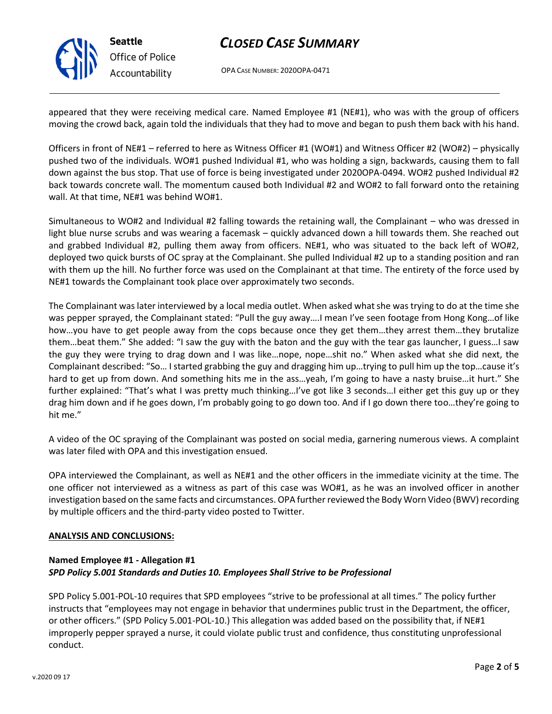

**Seattle** *Office of Police Accountability*

## *CLOSED CASE SUMMARY*

OPA CASE NUMBER: 2020OPA-0471

appeared that they were receiving medical care. Named Employee #1 (NE#1), who was with the group of officers moving the crowd back, again told the individuals that they had to move and began to push them back with his hand.

Officers in front of NE#1 – referred to here as Witness Officer #1 (WO#1) and Witness Officer #2 (WO#2) – physically pushed two of the individuals. WO#1 pushed Individual #1, who was holding a sign, backwards, causing them to fall down against the bus stop. That use of force is being investigated under 2020OPA-0494. WO#2 pushed Individual #2 back towards concrete wall. The momentum caused both Individual #2 and WO#2 to fall forward onto the retaining wall. At that time, NE#1 was behind WO#1.

Simultaneous to WO#2 and Individual #2 falling towards the retaining wall, the Complainant – who was dressed in light blue nurse scrubs and was wearing a facemask – quickly advanced down a hill towards them. She reached out and grabbed Individual #2, pulling them away from officers. NE#1, who was situated to the back left of WO#2, deployed two quick bursts of OC spray at the Complainant. She pulled Individual #2 up to a standing position and ran with them up the hill. No further force was used on the Complainant at that time. The entirety of the force used by NE#1 towards the Complainant took place over approximately two seconds.

The Complainant was later interviewed by a local media outlet. When asked what she was trying to do at the time she was pepper sprayed, the Complainant stated: "Pull the guy away….I mean I've seen footage from Hong Kong…of like how…you have to get people away from the cops because once they get them…they arrest them…they brutalize them…beat them." She added: "I saw the guy with the baton and the guy with the tear gas launcher, I guess…I saw the guy they were trying to drag down and I was like…nope, nope…shit no." When asked what she did next, the Complainant described: "So… I started grabbing the guy and dragging him up…trying to pull him up the top…cause it's hard to get up from down. And something hits me in the ass…yeah, I'm going to have a nasty bruise…it hurt." She further explained: "That's what I was pretty much thinking…I've got like 3 seconds…I either get this guy up or they drag him down and if he goes down, I'm probably going to go down too. And if I go down there too…they're going to hit me."

A video of the OC spraying of the Complainant was posted on social media, garnering numerous views. A complaint was later filed with OPA and this investigation ensued.

OPA interviewed the Complainant, as well as NE#1 and the other officers in the immediate vicinity at the time. The one officer not interviewed as a witness as part of this case was WO#1, as he was an involved officer in another investigation based on the same facts and circumstances. OPA further reviewed the Body Worn Video (BWV) recording by multiple officers and the third-party video posted to Twitter.

#### **ANALYSIS AND CONCLUSIONS:**

### **Named Employee #1 - Allegation #1** *SPD Policy 5.001 Standards and Duties 10. Employees Shall Strive to be Professional*

SPD Policy 5.001-POL-10 requires that SPD employees "strive to be professional at all times." The policy further instructs that "employees may not engage in behavior that undermines public trust in the Department, the officer, or other officers." (SPD Policy 5.001-POL-10.) This allegation was added based on the possibility that, if NE#1 improperly pepper sprayed a nurse, it could violate public trust and confidence, thus constituting unprofessional conduct.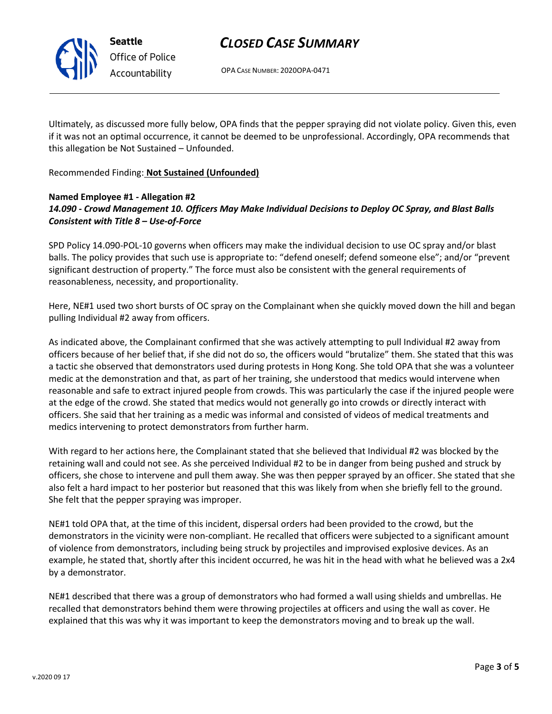

OPA CASE NUMBER: 2020OPA-0471

Ultimately, as discussed more fully below, OPA finds that the pepper spraying did not violate policy. Given this, even if it was not an optimal occurrence, it cannot be deemed to be unprofessional. Accordingly, OPA recommends that this allegation be Not Sustained – Unfounded.

Recommended Finding: **Not Sustained (Unfounded)**

## **Named Employee #1 - Allegation #2** *14.090 - Crowd Management 10. Officers May Make Individual Decisions to Deploy OC Spray, and Blast Balls Consistent with Title 8 – Use-of-Force*

SPD Policy 14.090-POL-10 governs when officers may make the individual decision to use OC spray and/or blast balls. The policy provides that such use is appropriate to: "defend oneself; defend someone else"; and/or "prevent significant destruction of property." The force must also be consistent with the general requirements of reasonableness, necessity, and proportionality.

Here, NE#1 used two short bursts of OC spray on the Complainant when she quickly moved down the hill and began pulling Individual #2 away from officers.

As indicated above, the Complainant confirmed that she was actively attempting to pull Individual #2 away from officers because of her belief that, if she did not do so, the officers would "brutalize" them. She stated that this was a tactic she observed that demonstrators used during protests in Hong Kong. She told OPA that she was a volunteer medic at the demonstration and that, as part of her training, she understood that medics would intervene when reasonable and safe to extract injured people from crowds. This was particularly the case if the injured people were at the edge of the crowd. She stated that medics would not generally go into crowds or directly interact with officers. She said that her training as a medic was informal and consisted of videos of medical treatments and medics intervening to protect demonstrators from further harm.

With regard to her actions here, the Complainant stated that she believed that Individual #2 was blocked by the retaining wall and could not see. As she perceived Individual #2 to be in danger from being pushed and struck by officers, she chose to intervene and pull them away. She was then pepper sprayed by an officer. She stated that she also felt a hard impact to her posterior but reasoned that this was likely from when she briefly fell to the ground. She felt that the pepper spraying was improper.

NE#1 told OPA that, at the time of this incident, dispersal orders had been provided to the crowd, but the demonstrators in the vicinity were non-compliant. He recalled that officers were subjected to a significant amount of violence from demonstrators, including being struck by projectiles and improvised explosive devices. As an example, he stated that, shortly after this incident occurred, he was hit in the head with what he believed was a 2x4 by a demonstrator.

NE#1 described that there was a group of demonstrators who had formed a wall using shields and umbrellas. He recalled that demonstrators behind them were throwing projectiles at officers and using the wall as cover. He explained that this was why it was important to keep the demonstrators moving and to break up the wall.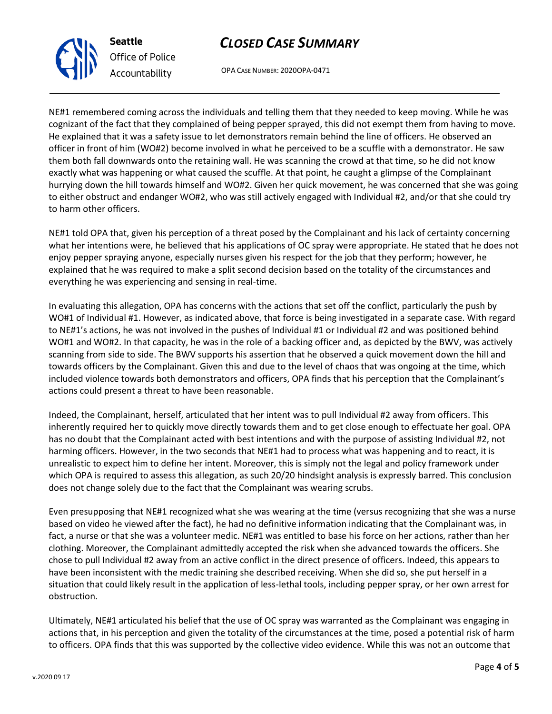## *CLOSED CASE SUMMARY*

OPA CASE NUMBER: 2020OPA-0471

NE#1 remembered coming across the individuals and telling them that they needed to keep moving. While he was cognizant of the fact that they complained of being pepper sprayed, this did not exempt them from having to move. He explained that it was a safety issue to let demonstrators remain behind the line of officers. He observed an officer in front of him (WO#2) become involved in what he perceived to be a scuffle with a demonstrator. He saw them both fall downwards onto the retaining wall. He was scanning the crowd at that time, so he did not know exactly what was happening or what caused the scuffle. At that point, he caught a glimpse of the Complainant hurrying down the hill towards himself and WO#2. Given her quick movement, he was concerned that she was going to either obstruct and endanger WO#2, who was still actively engaged with Individual #2, and/or that she could try to harm other officers.

NE#1 told OPA that, given his perception of a threat posed by the Complainant and his lack of certainty concerning what her intentions were, he believed that his applications of OC spray were appropriate. He stated that he does not enjoy pepper spraying anyone, especially nurses given his respect for the job that they perform; however, he explained that he was required to make a split second decision based on the totality of the circumstances and everything he was experiencing and sensing in real-time.

In evaluating this allegation, OPA has concerns with the actions that set off the conflict, particularly the push by WO#1 of Individual #1. However, as indicated above, that force is being investigated in a separate case. With regard to NE#1's actions, he was not involved in the pushes of Individual #1 or Individual #2 and was positioned behind WO#1 and WO#2. In that capacity, he was in the role of a backing officer and, as depicted by the BWV, was actively scanning from side to side. The BWV supports his assertion that he observed a quick movement down the hill and towards officers by the Complainant. Given this and due to the level of chaos that was ongoing at the time, which included violence towards both demonstrators and officers, OPA finds that his perception that the Complainant's actions could present a threat to have been reasonable.

Indeed, the Complainant, herself, articulated that her intent was to pull Individual #2 away from officers. This inherently required her to quickly move directly towards them and to get close enough to effectuate her goal. OPA has no doubt that the Complainant acted with best intentions and with the purpose of assisting Individual #2, not harming officers. However, in the two seconds that NE#1 had to process what was happening and to react, it is unrealistic to expect him to define her intent. Moreover, this is simply not the legal and policy framework under which OPA is required to assess this allegation, as such 20/20 hindsight analysis is expressly barred. This conclusion does not change solely due to the fact that the Complainant was wearing scrubs.

Even presupposing that NE#1 recognized what she was wearing at the time (versus recognizing that she was a nurse based on video he viewed after the fact), he had no definitive information indicating that the Complainant was, in fact, a nurse or that she was a volunteer medic. NE#1 was entitled to base his force on her actions, rather than her clothing. Moreover, the Complainant admittedly accepted the risk when she advanced towards the officers. She chose to pull Individual #2 away from an active conflict in the direct presence of officers. Indeed, this appears to have been inconsistent with the medic training she described receiving. When she did so, she put herself in a situation that could likely result in the application of less-lethal tools, including pepper spray, or her own arrest for obstruction.

Ultimately, NE#1 articulated his belief that the use of OC spray was warranted as the Complainant was engaging in actions that, in his perception and given the totality of the circumstances at the time, posed a potential risk of harm to officers. OPA finds that this was supported by the collective video evidence. While this was not an outcome that



**Seattle**

*Office of Police Accountability*